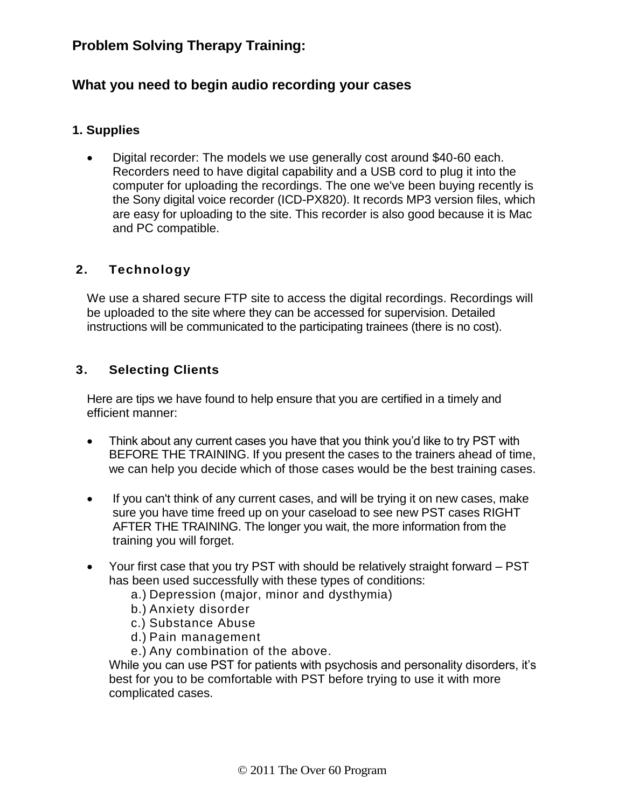# **Problem Solving Therapy Training:**

## **What you need to begin audio recording your cases**

### **1. Supplies**

 Digital recorder: The models we use generally cost around \$40-60 each. Recorders need to have digital capability and a USB cord to plug it into the computer for uploading the recordings. The one we've been buying recently is the Sony digital voice recorder (ICD-PX820). It records MP3 version files, which are easy for uploading to the site. This recorder is also good because it is Mac and PC compatible.

## **2. Technology**

We use a shared secure FTP site to access the digital recordings. Recordings will be uploaded to the site where they can be accessed for supervision. Detailed instructions will be communicated to the participating trainees (there is no cost).

## **3. Selecting Clients**

Here are tips we have found to help ensure that you are certified in a timely and efficient manner:

- Think about any current cases you have that you think you'd like to try PST with BEFORE THE TRAINING. If you present the cases to the trainers ahead of time, we can help you decide which of those cases would be the best training cases.
- If you can't think of any current cases, and will be trying it on new cases, make sure you have time freed up on your caseload to see new PST cases RIGHT AFTER THE TRAINING. The longer you wait, the more information from the training you will forget.
- Your first case that you try PST with should be relatively straight forward PST has been used successfully with these types of conditions:
	- a.) Depression (major, minor and dysthymia)
	- b.) Anxiety disorder
	- c.) Substance Abuse
	- d.) Pain management
	- e.) Any combination of the above.

While you can use PST for patients with psychosis and personality disorders, it's best for you to be comfortable with PST before trying to use it with more complicated cases.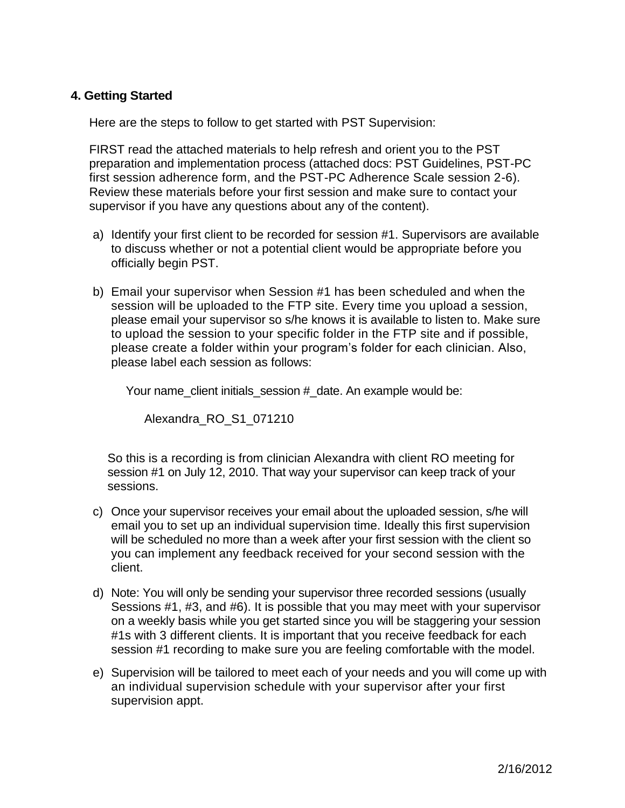## **4. Getting Started**

Here are the steps to follow to get started with PST Supervision:

FIRST read the attached materials to help refresh and orient you to the PST preparation and implementation process (attached docs: PST Guidelines, PST-PC first session adherence form, and the PST-PC Adherence Scale session 2-6). Review these materials before your first session and make sure to contact your supervisor if you have any questions about any of the content).

- a) Identify your first client to be recorded for session #1. Supervisors are available to discuss whether or not a potential client would be appropriate before you officially begin PST.
- b) Email your supervisor when Session #1 has been scheduled and when the session will be uploaded to the FTP site. Every time you upload a session, please email your supervisor so s/he knows it is available to listen to. Make sure to upload the session to your specific folder in the FTP site and if possible, please create a folder within your program's folder for each clinician. Also, please label each session as follows:

Your name client initials session # date. An example would be:

Alexandra\_RO\_S1\_071210

So this is a recording is from clinician Alexandra with client RO meeting for session #1 on July 12, 2010. That way your supervisor can keep track of your sessions.

- c) Once your supervisor receives your email about the uploaded session, s/he will email you to set up an individual supervision time. Ideally this first supervision will be scheduled no more than a week after your first session with the client so you can implement any feedback received for your second session with the client.
- d) Note: You will only be sending your supervisor three recorded sessions (usually Sessions #1, #3, and #6). It is possible that you may meet with your supervisor on a weekly basis while you get started since you will be staggering your session #1s with 3 different clients. It is important that you receive feedback for each session #1 recording to make sure you are feeling comfortable with the model.
- e) Supervision will be tailored to meet each of your needs and you will come up with an individual supervision schedule with your supervisor after your first supervision appt.